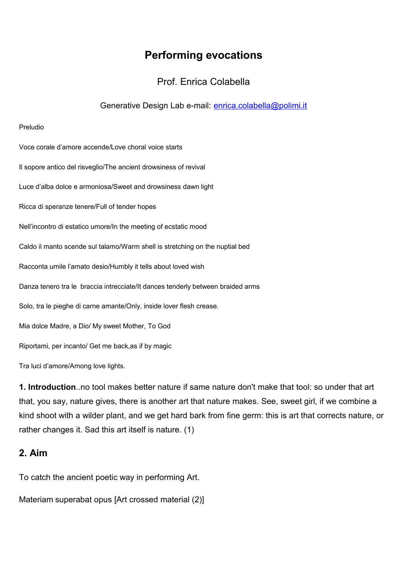# **Performing evocations**

### Prof. Enrica Colabella

#### Generative Design Lab e-mail: [enrica.colabella@polimi.it](mailto:enrica.colabella@polimi.it)

#### Preludio

Voce corale d'amore accende/Love choral voice starts Il sopore antico del risveglio/The ancient drowsiness of revival Luce d'alba dolce e armoniosa/Sweet and drowsiness dawn light Ricca di speranze tenere/Full of tender hopes Nell'incontro di estatico umore/In the meeting of ecstatic mood Caldo il manto scende sul talamo/Warm shell is stretching on the nuptial bed Racconta umile l'amato desio/Humbly it tells about loved wish Danza tenero tra le braccia intrecciate/It dances tenderly between braided arms Solo, tra le pieghe di carne amante/Only, inside lover flesh crease. Mia dolce Madre, a Dio/ My sweet Mother, To God Riportami, per incanto/ Get me back,as if by magic Tra luci d'amore/Among love lights.

**1. Introduction**..no tool makes better nature if same nature don't make that tool: so under that art that, you say, nature gives, there is another art that nature makes. See, sweet girl, if we combine a kind shoot with a wilder plant, and we get hard bark from fine germ: this is art that corrects nature, or rather changes it. Sad this art itself is nature. (1)

#### **2. Aim**

To catch the ancient poetic way in performing Art.

Materiam superabat opus [Art crossed material (2)]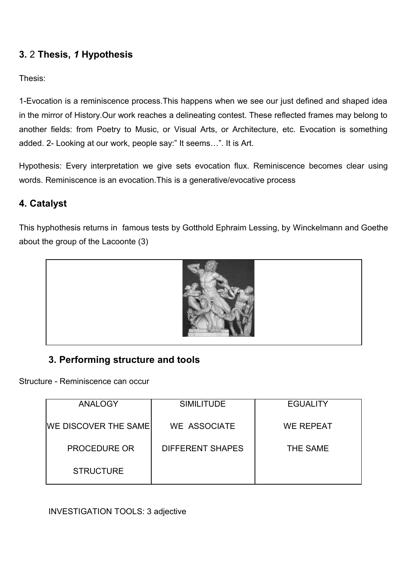### **3.** 2 **Thesis,** *1* **Hypothesis**

Thesis:

1-Evocation is a reminiscence process.This happens when we see our just defined and shaped idea in the mirror of History.Our work reaches a delineating contest. These reflected frames may belong to another fields: from Poetry to Music, or Visual Arts, or Architecture, etc. Evocation is something added. 2- Looking at our work, people say:" It seems…". It is Art.

Hypothesis: Every interpretation we give sets evocation flux. Reminiscence becomes clear using words. Reminiscence is an evocation.This is a generative/evocative process

## **4. Catalyst**

This hyphothesis returns in famous tests by Gotthold Ephraim Lessing, by Winckelmann and Goethe about the group of the Lacoonte (3)



### **3. Performing structure and tools**

Structure - Reminiscence can occur

| <b>ANALOGY</b>               | <b>SIMILITUDE</b>       | <b>EGUALITY</b>  |
|------------------------------|-------------------------|------------------|
| <b>IWE DISCOVER THE SAME</b> | <b>WE ASSOCIATE</b>     | <b>WE REPEAT</b> |
| PROCEDURE OR                 | <b>DIFFERENT SHAPES</b> | <b>THE SAME</b>  |
| <b>STRUCTURE</b>             |                         |                  |

INVESTIGATION TOOLS: 3 adjective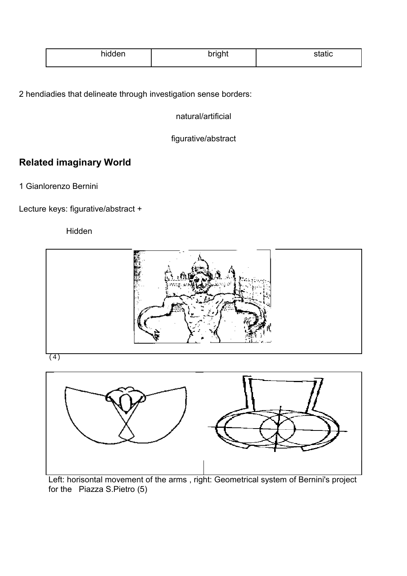| .<br>hidden<br>____ | المالم امر<br>prigrit | $\cdot$ .<br>ำแ∪ |
|---------------------|-----------------------|------------------|
|                     |                       |                  |

2 hendiadies that delineate through investigation sense borders:

natural/artificial

figurative/abstract

# **Related imaginary World**

1 Gianlorenzo Bernini

### Lecture keys: figurative/abstract +

#### Hidden



Left: horisontal movement of the arms , right: Geometrical system of Bernini's project for the Piazza S.Pietro (5)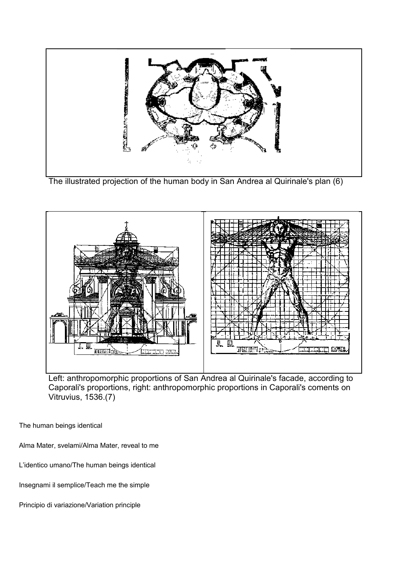

The illustrated projection of the human body in San Andrea al Quirinale's plan (6)



Left: anthropomorphic proportions of San Andrea al Quirinale's facade, according to Caporali's proportions, right: anthropomorphic proportions in Caporali's coments on Vitruvius, 1536.(7)

The human beings identical

Alma Mater, svelami/Alma Mater, reveal to me

L'identico umano/The human beings identical

Insegnami il semplice/Teach me the simple

Principio di variazione/Variation principle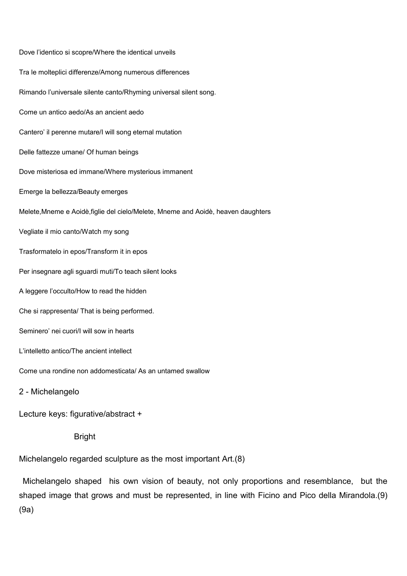Dove l'identico si scopre/Where the identical unveils Tra le molteplici differenze/Among numerous differences Rimando l'universale silente canto/Rhyming universal silent song. Come un antico aedo/As an ancient aedo Cantero' il perenne mutare/I will song eternal mutation Delle fattezze umane/ Of human beings Dove misteriosa ed immane/Where mysterious immanent Emerge la bellezza/Beauty emerges Melete,Mneme e Aoidè,figlie del cielo/Melete, Mneme and Aoidè, heaven daughters Vegliate il mio canto/Watch my song Trasformatelo in epos/Transform it in epos Per insegnare agli sguardi muti/To teach silent looks A leggere l'occulto/How to read the hidden Che si rappresenta/ That is being performed. Seminero' nei cuori/I will sow in hearts L'intelletto antico/The ancient intellect Come una rondine non addomesticata/ As an untamed swallow 2 - Michelangelo Lecture keys: figurative/abstract + Bright Michelangelo regarded sculpture as the most important Art.(8)

 Michelangelo shaped his own vision of beauty, not only proportions and resemblance, but the shaped image that grows and must be represented, in line with Ficino and Pico della Mirandola.(9) (9a)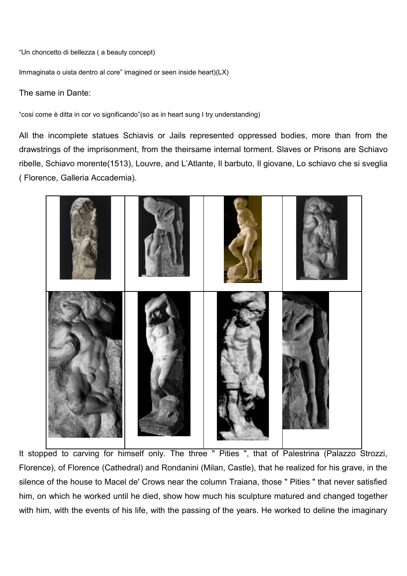"Un choncetto di bellezza ( a beauty concept)

Immaginata o uista dentro al core" imagined or seen inside heart)(LX)

The same in Dante:

"cosi come è ditta in cor vo significando"(so as in heart sung I try understanding)

All the incomplete statues Schiavis or Jails represented oppressed bodies, more than from the drawstrings of the imprisonment, from the theirsame internal torment. Slaves or Prisons are Schiavo ribelle, Schiavo morente(1513), Louvre, and L'Atlante, Il barbuto, Il giovane, Lo schiavo che si sveglia ( Florence, Galleria Accademia).



It stopped to carving for himself only. The three " Pities ", that of Palestrina (Palazzo Strozzi, Florence), of Florence (Cathedral) and Rondanini (Milan, Castle), that he realized for his grave, in the silence of the house to Macel de' Crows near the column Traiana, those " Pities " that never satisfied him, on which he worked until he died, show how much his sculpture matured and changed together with him, with the events of his life, with the passing of the years. He worked to deline the imaginary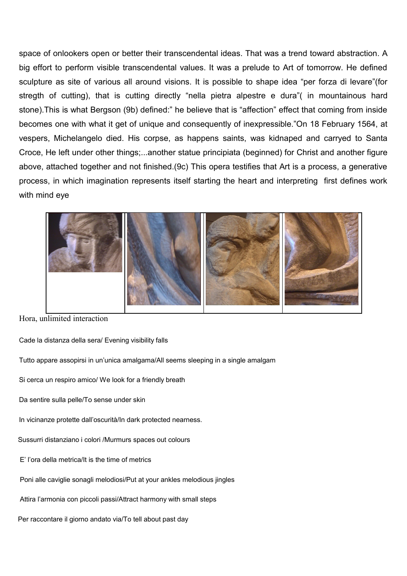space of onlookers open or better their transcendental ideas. That was a trend toward abstraction. A big effort to perform visible transcendental values. It was a prelude to Art of tomorrow. He defined sculpture as site of various all around visions. It is possible to shape idea "per forza di levare"(for stregth of cutting), that is cutting directly "nella pietra alpestre e dura"( in mountainous hard stone).This is what Bergson (9b) defined:" he believe that is "affection" effect that coming from inside becomes one with what it get of unique and consequently of inexpressible."On 18 February 1564, at vespers, Michelangelo died. His corpse, as happens saints, was kidnaped and carryed to Santa Croce, He left under other things;...another statue principiata (beginned) for Christ and another figure above, attached together and not finished.(9c) This opera testifies that Art is a process, a generative process, in which imagination represents itself starting the heart and interpreting first defines work with mind eye



Hora, unlimited interaction

Cade la distanza della sera/ Evening visibility falls

Tutto appare assopirsi in un'unica amalgama/All seems sleeping in a single amalgam

Si cerca un respiro amico/ We look for a friendly breath

Da sentire sulla pelle/To sense under skin

In vicinanze protette dall'oscurità/In dark protected nearness.

Sussurri distanziano i colori /Murmurs spaces out colours

E' l'ora della metrica/It is the time of metrics

Poni alle caviglie sonagli melodiosi/Put at your ankles melodious jingles

Attira l'armonia con piccoli passi/Attract harmony with small steps

Per raccontare il giorno andato via/To tell about past day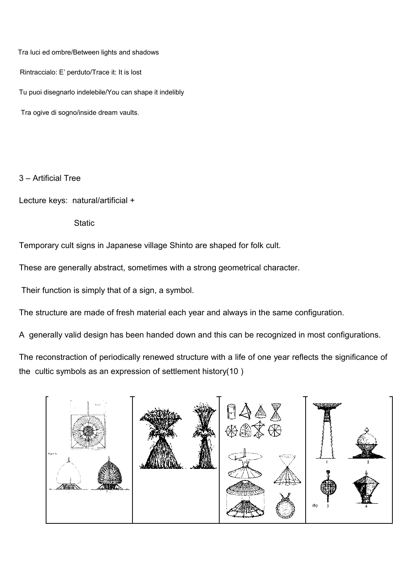Tra luci ed ombre/Between lights and shadows Rintraccialo: E' perduto/Trace it: It is lost Tu puoi disegnarlo indelebile/You can shape it indelibly Tra ogive di sogno/inside dream vaults.

3 – Artificial Tree

Lecture keys: natural/artificial +

Static

Temporary cult signs in Japanese village Shinto are shaped for folk cult.

These are generally abstract, sometimes with a strong geometrical character.

Their function is simply that of a sign, a symbol.

The structure are made of fresh material each year and always in the same configuration.

A generally valid design has been handed down and this can be recognized in most configurations.

The reconstraction of periodically renewed structure with a life of one year reflects the significance of the cultic symbols as an expression of settlement history(10 )

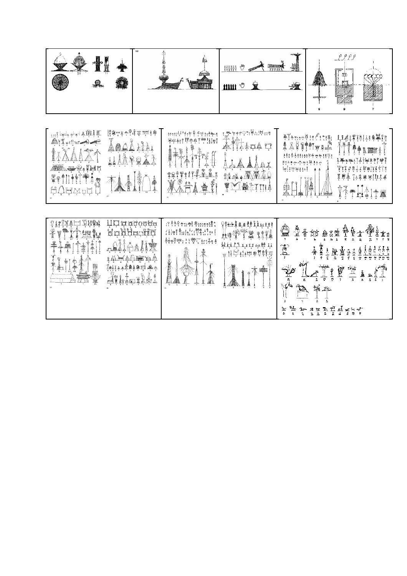| (a)<br><b>STIPES AND</b><br>و د و و<br>ШÏ<br>₩<br>龜<br>¥ě<br><b>START</b><br><b>Macarata</b><br><b>បំបំបំបំបំ</b><br>وسيتنفذ<br>क्तरू<br>TR<br>Arri<br>型<br>懳<br>繊<br>$\mathcal{P}_{\infty}$<br>陆<br>1895<br>্যাগ<br>فلتجعلا<br>$\overline{\phantom{a}}$<br>ホッチング ショーナ |
|------------------------------------------------------------------------------------------------------------------------------------------------------------------------------------------------------------------------------------------------------------------------|
|------------------------------------------------------------------------------------------------------------------------------------------------------------------------------------------------------------------------------------------------------------------------|

| ha. s – 44 a 111 h<br>×面工<br>光野<br>$\mathbf{\triangle}$ 1<br><u>the Act</u><br>商人<br>奮劇<br>a<br><b>ANGEL</b><br>A<br>ଛ<br>Â<br>一个人<br>$\mathbb{R}$<br>A<br>AM SOLIMI<br>$\frac{1}{3}$<br>高角个峰<br>警察門<br>本<br>靈<br>韭<br>諭<br>渝<br>Â<br>C.S<br>التعبية لأ<br>72<br>$^{(1)}$ | <u>™¥∉∉Qh¥ad</u><br>$\mathbb{R}$<br>音子<br>$\mathbb{R}^{m+1} \mathbb{M} \oplus \mathbb{R}^{m} \mathbb{N} \mathbb{N}$<br>▲←<br>$\mathcal{L} = \mathcal{L}$<br>na<br>ИĤ.<br>ł<br>$\frac{3}{2}$<br>1<br>$\mathcal{P}(\mathcal{P})$<br><b>CONTRACTOR</b><br>Â<br>b 28<br>240<br>拳聲<br>性氣<br>鳳<br>背筆<br>厭<br>堂盒拿擎全)<br>岩总<br>$\mathbb{A} \triangleq \mathbb{A}$<br>X<br>$\equiv$<br>饕<br>欁<br><b>Sept</b><br>ા પશુ<br>Á<br>14<br>24. | 87a<br>$16 - 11$<br>a.<br>衡<br>呆嚴審<br><b>又曾會好</b><br>Å<br>VIA<br>而配士:<br><b>AIIAAIIIAPP#MIII</b><br><b>TWAWYIYYMYALAL</b><br><u> 부호스포 총 스포 프로</u><br><u>Litten ti maliteln</u><br>। अपूर्ण संस्कृत स्थ <b>ि</b><br>算符集<br>TA出租到112或<br>990<br>5.17.87<br>$\mathcal{D} \oplus$<br>∰<br>. ∾⊉•<br>ती<br>l 43<br>樂<br>个孤<br>∰.<br>ИŅ |
|---------------------------------------------------------------------------------------------------------------------------------------------------------------------------------------------------------------------------------------------------------------------------|--------------------------------------------------------------------------------------------------------------------------------------------------------------------------------------------------------------------------------------------------------------------------------------------------------------------------------------------------------------------------------------------------------------------------------|----------------------------------------------------------------------------------------------------------------------------------------------------------------------------------------------------------------------------------------------------------------------------------------------------------------------------------|
|---------------------------------------------------------------------------------------------------------------------------------------------------------------------------------------------------------------------------------------------------------------------------|--------------------------------------------------------------------------------------------------------------------------------------------------------------------------------------------------------------------------------------------------------------------------------------------------------------------------------------------------------------------------------------------------------------------------------|----------------------------------------------------------------------------------------------------------------------------------------------------------------------------------------------------------------------------------------------------------------------------------------------------------------------------------|

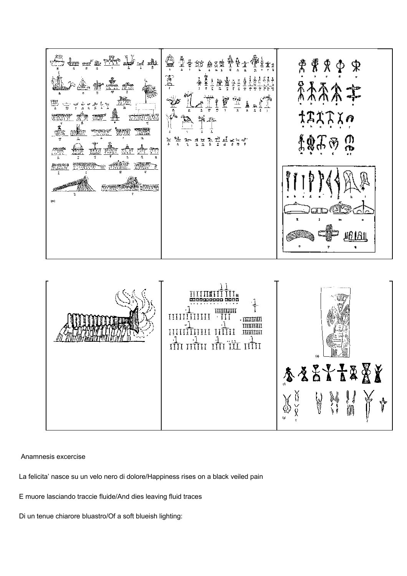$$
\frac{47.77}{1000}
$$



Anamnesis excercise

La felicita' nasce su un velo nero di dolore/Happiness rises on a black veiled pain

E muore lasciando traccie fluide/And dies leaving fluid traces

Di un tenue chiarore bluastro/Of a soft blueish lighting: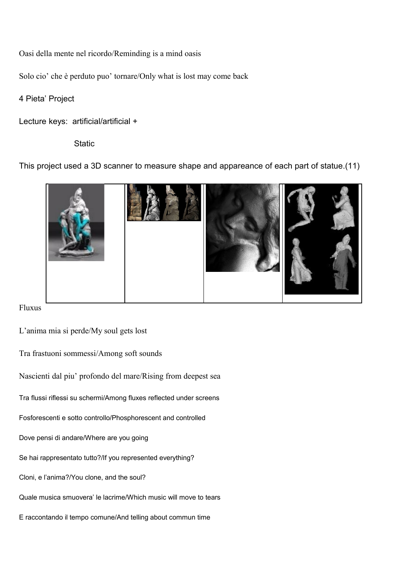Oasi della mente nel ricordo/Reminding is a mind oasis

Solo cio' che è perduto puo' tornare/Only what is lost may come back

4 Pieta' Project

Lecture keys: artificial/artificial +

**Static** 

This project used a 3D scanner to measure shape and appareance of each part of statue.(11)



Fluxus

L'anima mia si perde/My soul gets lost

Tra frastuoni sommessi/Among soft sounds

Nascienti dal piu' profondo del mare/Rising from deepest sea

Tra flussi riflessi su schermi/Among fluxes reflected under screens

Fosforescenti e sotto controllo/Phosphorescent and controlled

Dove pensi di andare/Where are you going

Se hai rappresentato tutto?/If you represented everything?

Cloni, e l'anima?/You clone, and the soul?

Quale musica smuovera' le lacrime/Which music will move to tears

E raccontando il tempo comune/And telling about commun time